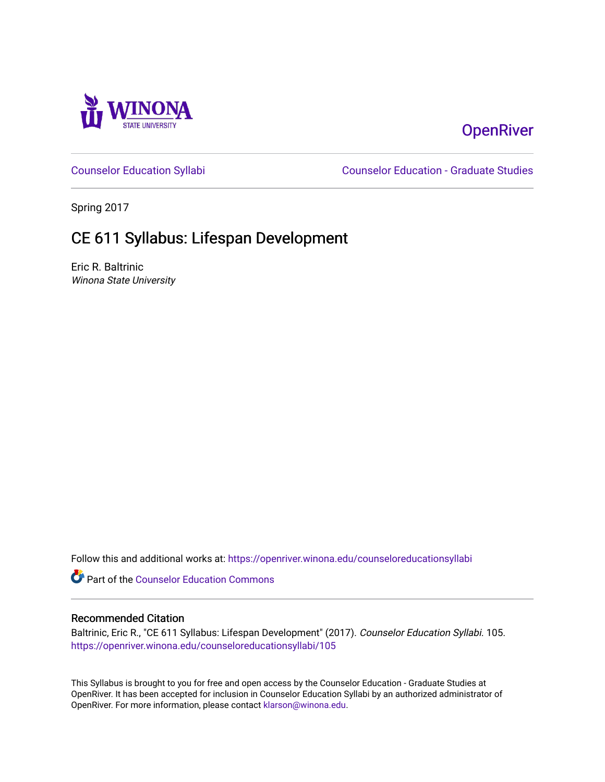

# **OpenRiver**

[Counselor Education Syllabi](https://openriver.winona.edu/counseloreducationsyllabi) [Counselor Education - Graduate Studies](https://openriver.winona.edu/counseloreducation) 

Spring 2017

# CE 611 Syllabus: Lifespan Development

Eric R. Baltrinic Winona State University

Follow this and additional works at: [https://openriver.winona.edu/counseloreducationsyllabi](https://openriver.winona.edu/counseloreducationsyllabi?utm_source=openriver.winona.edu%2Fcounseloreducationsyllabi%2F105&utm_medium=PDF&utm_campaign=PDFCoverPages)

Part of the [Counselor Education Commons](http://network.bepress.com/hgg/discipline/1278?utm_source=openriver.winona.edu%2Fcounseloreducationsyllabi%2F105&utm_medium=PDF&utm_campaign=PDFCoverPages) 

#### Recommended Citation

Baltrinic, Eric R., "CE 611 Syllabus: Lifespan Development" (2017). Counselor Education Syllabi. 105. [https://openriver.winona.edu/counseloreducationsyllabi/105](https://openriver.winona.edu/counseloreducationsyllabi/105?utm_source=openriver.winona.edu%2Fcounseloreducationsyllabi%2F105&utm_medium=PDF&utm_campaign=PDFCoverPages)

This Syllabus is brought to you for free and open access by the Counselor Education - Graduate Studies at OpenRiver. It has been accepted for inclusion in Counselor Education Syllabi by an authorized administrator of OpenRiver. For more information, please contact [klarson@winona.edu](mailto:klarson@winona.edu).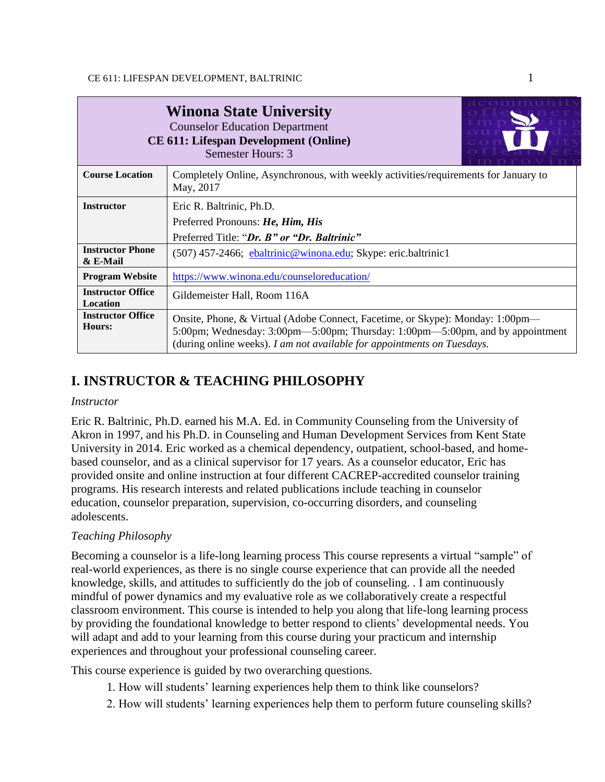| <b>Winona State University</b><br><b>Counselor Education Department</b><br><b>CE 611: Lifespan Development (Online)</b><br>Semester Hours: 3 |                                                                                                                                                                                                                                           |  |  |  |
|----------------------------------------------------------------------------------------------------------------------------------------------|-------------------------------------------------------------------------------------------------------------------------------------------------------------------------------------------------------------------------------------------|--|--|--|
| <b>Course Location</b>                                                                                                                       | Completely Online, Asynchronous, with weekly activities/requirements for January to<br>May, 2017                                                                                                                                          |  |  |  |
| <b>Instructor</b>                                                                                                                            | Eric R. Baltrinic, Ph.D.                                                                                                                                                                                                                  |  |  |  |
|                                                                                                                                              | Preferred Pronouns: He, Him, His                                                                                                                                                                                                          |  |  |  |
|                                                                                                                                              | Preferred Title: "Dr. B" or "Dr. Baltrinic"                                                                                                                                                                                               |  |  |  |
| <b>Instructor Phone</b><br>$&$ E-Mail                                                                                                        | (507) 457-2466; ebaltrinic@winona.edu; Skype: eric.baltrinic1                                                                                                                                                                             |  |  |  |
| <b>Program Website</b>                                                                                                                       | https://www.winona.edu/counseloreducation/                                                                                                                                                                                                |  |  |  |
| <b>Instructor Office</b><br>Location                                                                                                         | Gildemeister Hall, Room 116A                                                                                                                                                                                                              |  |  |  |
| <b>Instructor Office</b><br>Hours:                                                                                                           | Onsite, Phone, & Virtual (Adobe Connect, Facetime, or Skype): Monday: 1:00pm-<br>5:00pm; Wednesday: 3:00pm—5:00pm; Thursday: 1:00pm—5:00pm, and by appointment<br>(during online weeks). I am not available for appointments on Tuesdays. |  |  |  |

## **I. INSTRUCTOR & TEACHING PHILOSOPHY**

#### *Instructor*

Eric R. Baltrinic, Ph.D. earned his M.A. Ed. in Community Counseling from the University of Akron in 1997, and his Ph.D. in Counseling and Human Development Services from Kent State University in 2014. Eric worked as a chemical dependency, outpatient, school-based, and homebased counselor, and as a clinical supervisor for 17 years. As a counselor educator, Eric has provided onsite and online instruction at four different CACREP-accredited counselor training programs. His research interests and related publications include teaching in counselor education, counselor preparation, supervision, co-occurring disorders, and counseling adolescents.

### *Teaching Philosophy*

Becoming a counselor is a life-long learning process This course represents a virtual "sample" of real-world experiences, as there is no single course experience that can provide all the needed knowledge, skills, and attitudes to sufficiently do the job of counseling. . I am continuously mindful of power dynamics and my evaluative role as we collaboratively create a respectful classroom environment. This course is intended to help you along that life-long learning process by providing the foundational knowledge to better respond to clients' developmental needs. You will adapt and add to your learning from this course during your practicum and internship experiences and throughout your professional counseling career.

This course experience is guided by two overarching questions.

- 1. How will students' learning experiences help them to think like counselors?
- 2. How will students' learning experiences help them to perform future counseling skills?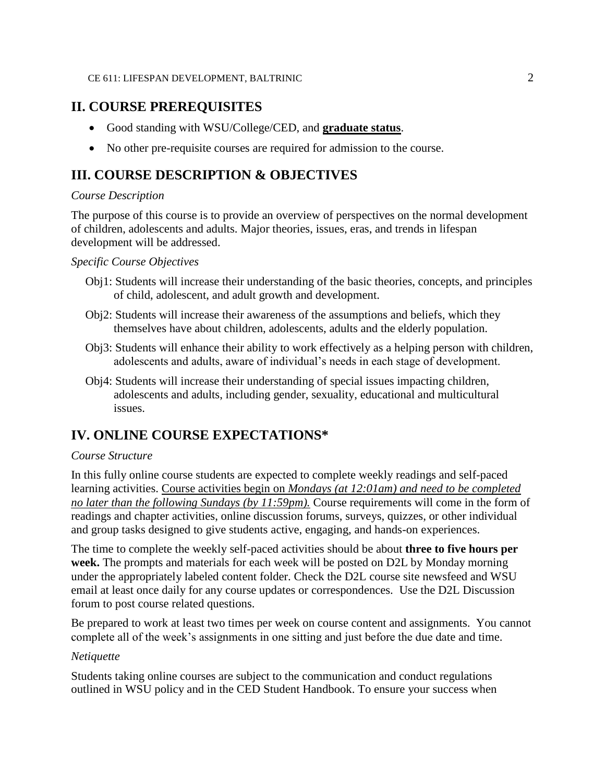### **II. COURSE PREREQUISITES**

- Good standing with WSU/College/CED, and **graduate status**.
- No other pre-requisite courses are required for admission to the course.

### **III. COURSE DESCRIPTION & OBJECTIVES**

#### *Course Description*

The purpose of this course is to provide an overview of perspectives on the normal development of children, adolescents and adults. Major theories, issues, eras, and trends in lifespan development will be addressed.

#### *Specific Course Objectives*

- Obj1: Students will increase their understanding of the basic theories, concepts, and principles of child, adolescent, and adult growth and development.
- Obj2: Students will increase their awareness of the assumptions and beliefs, which they themselves have about children, adolescents, adults and the elderly population.
- Obj3: Students will enhance their ability to work effectively as a helping person with children, adolescents and adults, aware of individual's needs in each stage of development.
- Obj4: Students will increase their understanding of special issues impacting children, adolescents and adults, including gender, sexuality, educational and multicultural issues.

### **IV. ONLINE COURSE EXPECTATIONS\***

#### *Course Structure*

In this fully online course students are expected to complete weekly readings and self-paced learning activities. Course activities begin on *Mondays (at 12:01am) and need to be completed no later than the following Sundays (by 11:59pm).* Course requirements will come in the form of readings and chapter activities, online discussion forums, surveys, quizzes, or other individual and group tasks designed to give students active, engaging, and hands-on experiences.

The time to complete the weekly self-paced activities should be about **three to five hours per week.** The prompts and materials for each week will be posted on D2L by Monday morning under the appropriately labeled content folder. Check the D2L course site newsfeed and WSU email at least once daily for any course updates or correspondences. Use the D2L Discussion forum to post course related questions.

Be prepared to work at least two times per week on course content and assignments. You cannot complete all of the week's assignments in one sitting and just before the due date and time.

#### *Netiquette*

Students taking online courses are subject to the communication and conduct regulations outlined in WSU policy and in the CED Student Handbook. To ensure your success when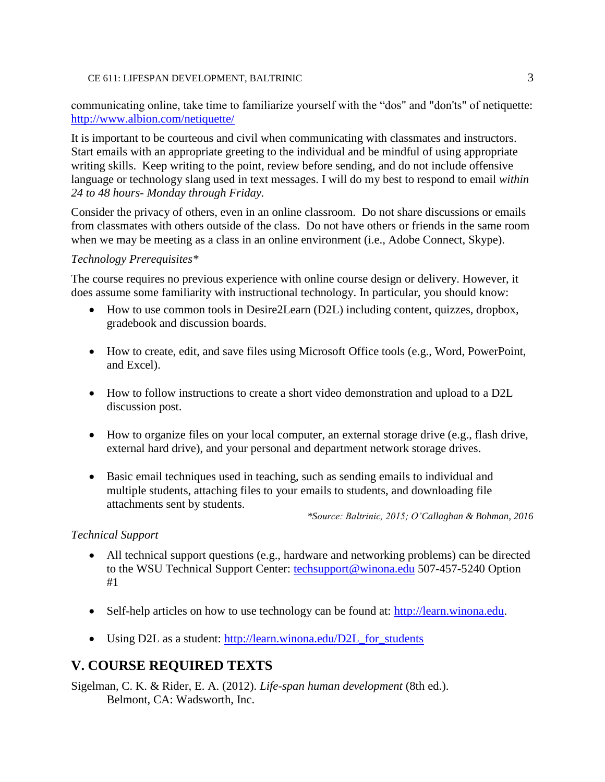communicating online, take time to familiarize yourself with the "dos" and "don'ts" of netiquette: <http://www.albion.com/netiquette/>

It is important to be courteous and civil when communicating with classmates and instructors. Start emails with an appropriate greeting to the individual and be mindful of using appropriate writing skills. Keep writing to the point, review before sending, and do not include offensive language or technology slang used in text messages. I will do my best to respond to email *within 24 to 48 hours- Monday through Friday.*

Consider the privacy of others, even in an online classroom. Do not share discussions or emails from classmates with others outside of the class. Do not have others or friends in the same room when we may be meeting as a class in an online environment (i.e., Adobe Connect, Skype).

#### *Technology Prerequisites\**

The course requires no previous experience with online course design or delivery. However, it does assume some familiarity with instructional technology. In particular, you should know:

- How to use common tools in Desire2Learn (D2L) including content, quizzes, dropbox, gradebook and discussion boards.
- How to create, edit, and save files using Microsoft Office tools (e.g., Word, PowerPoint, and Excel).
- How to follow instructions to create a short video demonstration and upload to a D2L discussion post.
- How to organize files on your local computer, an external storage drive (e.g., flash drive, external hard drive), and your personal and department network storage drives.
- Basic email techniques used in teaching, such as sending emails to individual and multiple students, attaching files to your emails to students, and downloading file attachments sent by students.

*\*Source: Baltrinic, 2015; O'Callaghan & Bohman, 2016*

#### *Technical Support*

- All technical support questions (e.g., hardware and networking problems) can be directed to the WSU Technical Support Center: [techsupport@winona.edu](mailto:techsupport@winona.edu) 507-457-5240 Option #1
- Self-help articles on how to use technology can be found at: [http://learn.winona.edu.](http://learn.winona.edu/)
- Using D2L as a student: [http://learn.winona.edu/D2L\\_for\\_students](http://learn.winona.edu/D2L_for_students)

### **V. COURSE REQUIRED TEXTS**

Sigelman, C. K. & Rider, E. A. (2012). *Life-span human development* (8th ed.). Belmont, CA: Wadsworth, Inc.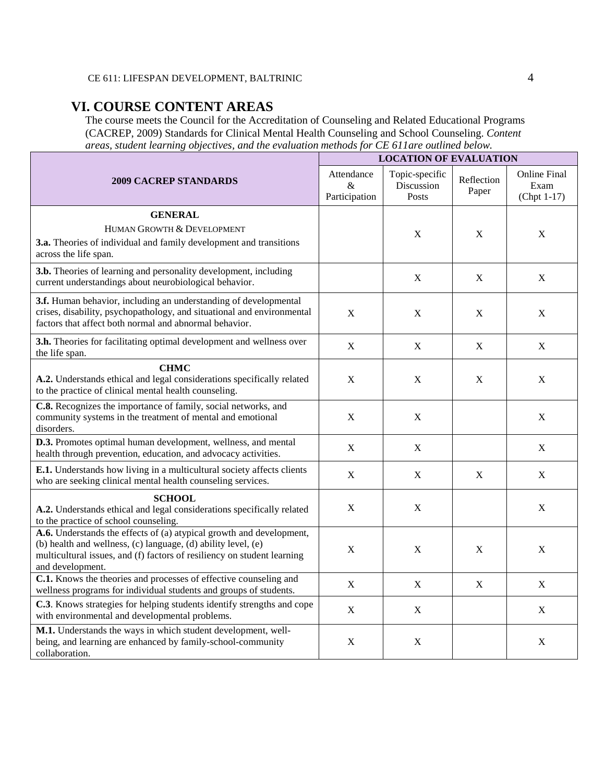### **VI. COURSE CONTENT AREAS**

The course meets the Council for the Accreditation of Counseling and Related Educational Programs (CACREP, 2009) Standards for Clinical Mental Health Counseling and School Counseling. *Content areas, student learning objectives, and the evaluation methods for CE 611are outlined below.*

|                                                                                                                                                                                                                                      | <b>LOCATION OF EVALUATION</b>    |                                       |                     |                                              |  |
|--------------------------------------------------------------------------------------------------------------------------------------------------------------------------------------------------------------------------------------|----------------------------------|---------------------------------------|---------------------|----------------------------------------------|--|
| <b>2009 CACREP STANDARDS</b>                                                                                                                                                                                                         | Attendance<br>&<br>Participation | Topic-specific<br>Discussion<br>Posts | Reflection<br>Paper | <b>Online Final</b><br>Exam<br>$(Chpt 1-17)$ |  |
| <b>GENERAL</b><br>HUMAN GROWTH & DEVELOPMENT<br>3.a. Theories of individual and family development and transitions<br>across the life span.                                                                                          |                                  | X                                     | X                   | X                                            |  |
| 3.b. Theories of learning and personality development, including<br>current understandings about neurobiological behavior.                                                                                                           |                                  | $\mathbf X$                           | $\mathbf X$         | $\mathbf X$                                  |  |
| 3.f. Human behavior, including an understanding of developmental<br>crises, disability, psychopathology, and situational and environmental<br>factors that affect both normal and abnormal behavior.                                 | $\mathbf X$                      | $\mathbf X$                           | $\mathbf X$         | $\mathbf X$                                  |  |
| 3.h. Theories for facilitating optimal development and wellness over<br>the life span.                                                                                                                                               | X                                | X                                     | X                   | $\boldsymbol{X}$                             |  |
| <b>CHMC</b><br>A.2. Understands ethical and legal considerations specifically related<br>to the practice of clinical mental health counseling.                                                                                       | X                                | X                                     | X                   | X                                            |  |
| C.8. Recognizes the importance of family, social networks, and<br>community systems in the treatment of mental and emotional<br>disorders.                                                                                           | $\mathbf X$                      | $\mathbf X$                           |                     | $\mathbf X$                                  |  |
| D.3. Promotes optimal human development, wellness, and mental<br>health through prevention, education, and advocacy activities.                                                                                                      | $\mathbf X$                      | $\mathbf X$                           |                     | $\mathbf X$                                  |  |
| E.1. Understands how living in a multicultural society affects clients<br>who are seeking clinical mental health counseling services.                                                                                                | $\mathbf X$                      | $\mathbf X$                           | $\mathbf X$         | $\mathbf X$                                  |  |
| <b>SCHOOL</b><br>A.2. Understands ethical and legal considerations specifically related<br>to the practice of school counseling.                                                                                                     | $\mathbf X$                      | $\mathbf X$                           |                     | X                                            |  |
| A.6. Understands the effects of (a) atypical growth and development,<br>(b) health and wellness, (c) language, (d) ability level, (e)<br>multicultural issues, and (f) factors of resiliency on student learning<br>and development. | $\mathbf X$                      | $\mathbf X$                           | X                   | X                                            |  |
| C.1. Knows the theories and processes of effective counseling and<br>wellness programs for individual students and groups of students.                                                                                               | $\mathbf X$                      | $\mathbf X$                           | $\mathbf X$         | $\mathbf X$                                  |  |
| C.3. Knows strategies for helping students identify strengths and cope<br>with environmental and developmental problems.                                                                                                             | X                                | X                                     |                     | $\mathbf X$                                  |  |
| M.1. Understands the ways in which student development, well-<br>being, and learning are enhanced by family-school-community<br>collaboration.                                                                                       | $\mathbf X$                      | $\mathbf X$                           |                     | X                                            |  |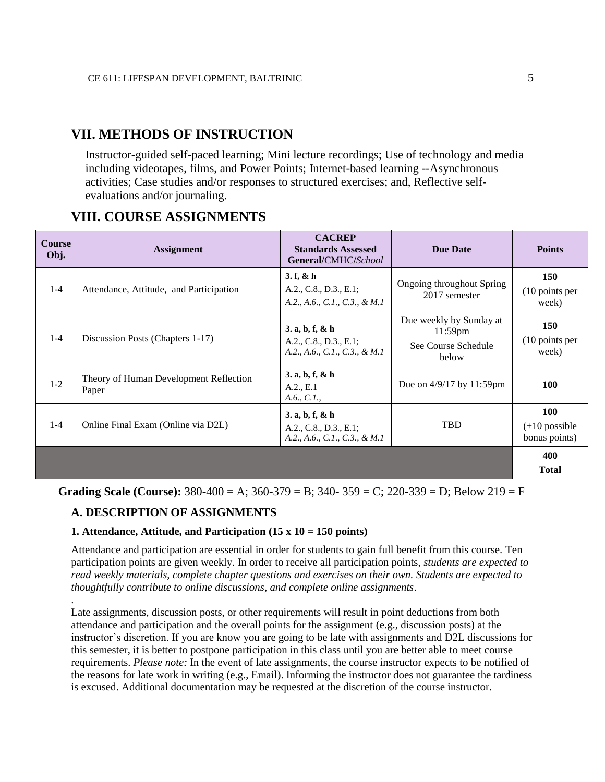### **VII. METHODS OF INSTRUCTION**

Instructor-guided self-paced learning; Mini lecture recordings; Use of technology and media including videotapes, films, and Power Points; Internet-based learning --Asynchronous activities; Case studies and/or responses to structured exercises; and, Reflective selfevaluations and/or journaling.

#### **Course Obj. Assignment CACREP Standards Assessed General/**CMHC**/***School* **Due Date Points** 1-4 Attendance, Attitude, and Participation **3. f, & h** A.2., C.8., D.3., E.1; *A.2., A.6., C.1., C.3., & M.1* Ongoing throughout Spring 2017 semester (10 points per 1-4 Discussion Posts (Chapters 1-17) **3. a, b, f, & h** A.2., C.8., D.3., E.1; *A.2., A.6., C.1., C.3., & M.1* Due weekly by Sunday at 11:59pm See Course Schedule below (10 points per 1-2 Theory of Human Development Reflection Paper **3. a, b, f, & h** A.2., E.1 *A.6., C.1.,*  Due on 4/9/17 by 11:59pm **100** 1-4 Online Final Exam (Online via D2L) **3. a, b, f, & h** A.2., C.8., D.3., E.1; *A.2., A.6., C.1., C.3., & M.1* TBD (+10 possible bonus points)

### **VIII. COURSE ASSIGNMENTS**

**Grading Scale (Course):**  $380-400 = A$ ;  $360-379 = B$ ;  $340-359 = C$ ;  $220-339 = D$ ; Below  $219 = F$ 

#### **A. DESCRIPTION OF ASSIGNMENTS**

.

#### **1. Attendance, Attitude, and Participation (15 x 10 = 150 points)**

Attendance and participation are essential in order for students to gain full benefit from this course. Ten participation points are given weekly. In order to receive all participation points, *students are expected to read weekly materials, complete chapter questions and exercises on their own. Students are expected to thoughtfully contribute to online discussions, and complete online assignments*.

Late assignments, discussion posts, or other requirements will result in point deductions from both attendance and participation and the overall points for the assignment (e.g., discussion posts) at the instructor's discretion. If you are know you are going to be late with assignments and D2L discussions for this semester, it is better to postpone participation in this class until you are better able to meet course requirements. *Please note:* In the event of late assignments, the course instructor expects to be notified of the reasons for late work in writing (e.g., Email). Informing the instructor does not guarantee the tardiness is excused. Additional documentation may be requested at the discretion of the course instructor.

**150**

week)

**150**

week)

**100**

**400 Total**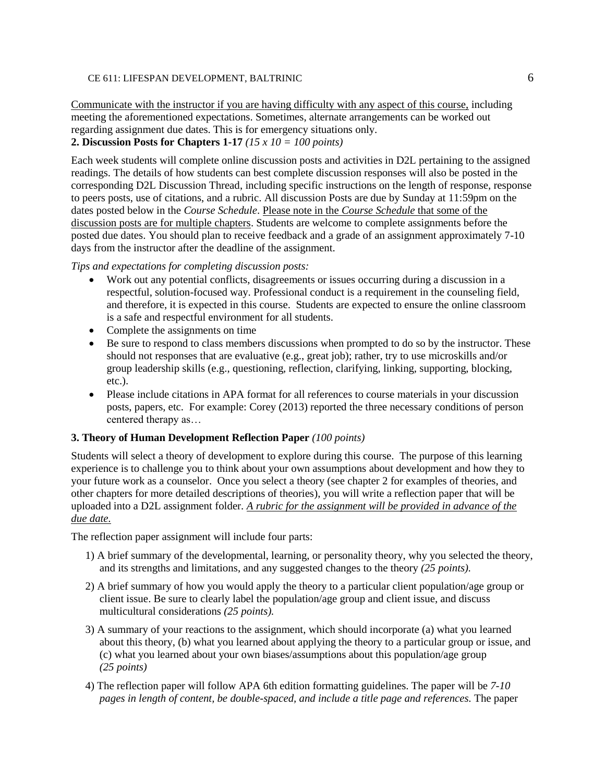Communicate with the instructor if you are having difficulty with any aspect of this course, including meeting the aforementioned expectations. Sometimes, alternate arrangements can be worked out regarding assignment due dates. This is for emergency situations only. **2. Discussion Posts for Chapters 1-17** *(15 x 10 = 100 points)*

Each week students will complete online discussion posts and activities in D2L pertaining to the assigned readings. The details of how students can best complete discussion responses will also be posted in the corresponding D2L Discussion Thread, including specific instructions on the length of response, response to peers posts, use of citations, and a rubric. All discussion Posts are due by Sunday at 11:59pm on the dates posted below in the *Course Schedule*. Please note in the *Course Schedule* that some of the discussion posts are for multiple chapters. Students are welcome to complete assignments before the posted due dates. You should plan to receive feedback and a grade of an assignment approximately 7-10 days from the instructor after the deadline of the assignment.

#### *Tips and expectations for completing discussion posts:*

- Work out any potential conflicts, disagreements or issues occurring during a discussion in a respectful, solution-focused way. Professional conduct is a requirement in the counseling field, and therefore, it is expected in this course. Students are expected to ensure the online classroom is a safe and respectful environment for all students.
- Complete the assignments on time
- Be sure to respond to class members discussions when prompted to do so by the instructor. These should not responses that are evaluative (e.g., great job); rather, try to use microskills and/or group leadership skills (e.g., questioning, reflection, clarifying, linking, supporting, blocking, etc.).
- Please include citations in APA format for all references to course materials in your discussion posts, papers, etc. For example: Corey (2013) reported the three necessary conditions of person centered therapy as…

#### **3. Theory of Human Development Reflection Paper** *(100 points)*

Students will select a theory of development to explore during this course. The purpose of this learning experience is to challenge you to think about your own assumptions about development and how they to your future work as a counselor. Once you select a theory (see chapter 2 for examples of theories, and other chapters for more detailed descriptions of theories), you will write a reflection paper that will be uploaded into a D2L assignment folder. *A rubric for the assignment will be provided in advance of the due date.*

The reflection paper assignment will include four parts:

- 1) A brief summary of the developmental, learning, or personality theory, why you selected the theory, and its strengths and limitations, and any suggested changes to the theory *(25 points).*
- 2) A brief summary of how you would apply the theory to a particular client population/age group or client issue. Be sure to clearly label the population/age group and client issue, and discuss multicultural considerations *(25 points).*
- 3) A summary of your reactions to the assignment, which should incorporate (a) what you learned about this theory, (b) what you learned about applying the theory to a particular group or issue, and (c) what you learned about your own biases/assumptions about this population/age group *(25 points)*
- 4) The reflection paper will follow APA 6th edition formatting guidelines. The paper will be *7-10 pages in length of content, be double-spaced, and include a title page and references.* The paper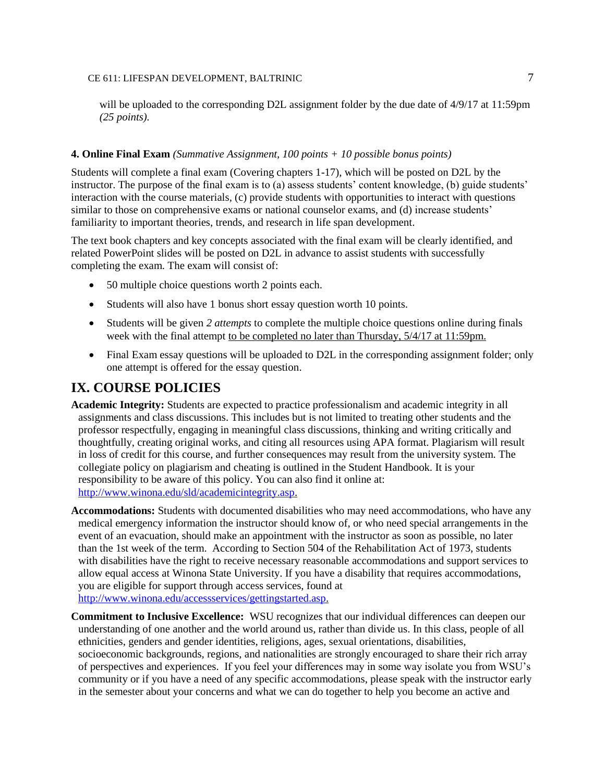will be uploaded to the corresponding D2L assignment folder by the due date of 4/9/17 at 11:59pm *(25 points).*

#### **4. Online Final Exam** *(Summative Assignment, 100 points + 10 possible bonus points)*

Students will complete a final exam (Covering chapters 1-17), which will be posted on D2L by the instructor. The purpose of the final exam is to (a) assess students' content knowledge, (b) guide students' interaction with the course materials, (c) provide students with opportunities to interact with questions similar to those on comprehensive exams or national counselor exams, and (d) increase students' familiarity to important theories, trends, and research in life span development.

The text book chapters and key concepts associated with the final exam will be clearly identified, and related PowerPoint slides will be posted on D2L in advance to assist students with successfully completing the exam. The exam will consist of:

- 50 multiple choice questions worth 2 points each.
- Students will also have 1 bonus short essay question worth 10 points.
- Students will be given *2 attempts* to complete the multiple choice questions online during finals week with the final attempt to be completed no later than Thursday, 5/4/17 at 11:59pm.
- Final Exam essay questions will be uploaded to D2L in the corresponding assignment folder; only one attempt is offered for the essay question.

### **IX. COURSE POLICIES**

- **Academic Integrity:** Students are expected to practice professionalism and academic integrity in all assignments and class discussions. This includes but is not limited to treating other students and the professor respectfully, engaging in meaningful class discussions, thinking and writing critically and thoughtfully, creating original works, and citing all resources using APA format. Plagiarism will result in loss of credit for this course, and further consequences may result from the university system. The collegiate policy on plagiarism and cheating is outlined in the Student Handbook. It is your responsibility to be aware of this policy. You can also find it online at: [http://www.winona.edu/sld/academicintegrity.asp.](http://www.winona.edu/sld/academicintegrity.asp)
- **Accommodations:** Students with documented disabilities who may need accommodations, who have any medical emergency information the instructor should know of, or who need special arrangements in the event of an evacuation, should make an appointment with the instructor as soon as possible, no later than the 1st week of the term. According to Section 504 of the Rehabilitation Act of 1973, students with disabilities have the right to receive necessary reasonable accommodations and support services to allow equal access at Winona State University. If you have a disability that requires accommodations, you are eligible for support through access services, found at [http://www.winona.edu/accessservices/gettingstarted.asp.](http://www.winona.edu/accessservices/gettingstarted.asp)
- **Commitment to Inclusive Excellence:** WSU recognizes that our individual differences can deepen our understanding of one another and the world around us, rather than divide us. In this class, people of all ethnicities, genders and gender identities, religions, ages, sexual orientations, disabilities, socioeconomic backgrounds, regions, and nationalities are strongly encouraged to share their rich array of perspectives and experiences. If you feel your differences may in some way isolate you from WSU's community or if you have a need of any specific accommodations, please speak with the instructor early in the semester about your concerns and what we can do together to help you become an active and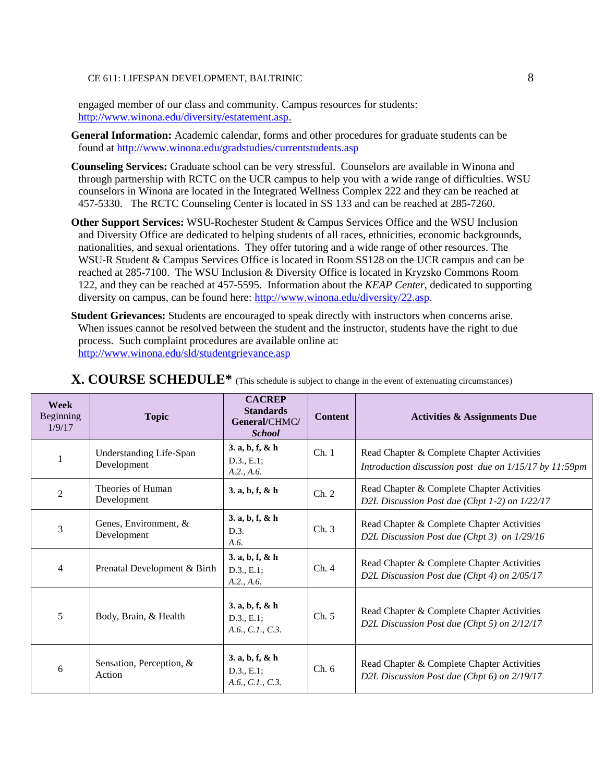engaged member of our class and community. Campus resources for students: [http://www.winona.edu/diversity/estatement.asp.](http://www.winona.edu/diversity/estatement.asp)

**General Information:** Academic calendar, forms and other procedures for graduate students can be found at<http://www.winona.edu/gradstudies/currentstudents.asp>

- **Counseling Services:** Graduate school can be very stressful. Counselors are available in Winona and through partnership with RCTC on the UCR campus to help you with a wide range of difficulties. WSU counselors in Winona are located in the Integrated Wellness Complex 222 and they can be reached at 457-5330. The RCTC Counseling Center is located in SS 133 and can be reached at 285-7260.
- **Other Support Services:** WSU-Rochester Student & Campus Services Office and the WSU Inclusion and Diversity Office are dedicated to helping students of all races, ethnicities, economic backgrounds, nationalities, and sexual orientations. They offer tutoring and a wide range of other resources. The WSU-R Student & Campus Services Office is located in Room SS128 on the UCR campus and can be reached at 285-7100. The WSU Inclusion & Diversity Office is located in Kryzsko Commons Room 122, and they can be reached at 457-5595. Information about the *KEAP Center*, dedicated to supporting diversity on campus, can be found here: [http://www.winona.edu/diversity/22.asp.](http://www.winona.edu/diversity/22.asp)
- **Student Grievances:** Students are encouraged to speak directly with instructors when concerns arise. When issues cannot be resolved between the student and the instructor, students have the right to due process. Such complaint procedures are available online at: <http://www.winona.edu/sld/studentgrievance.asp>

| Week<br>Beginning<br>1/9/17 | <b>Topic</b>                           | <b>CACREP</b><br><b>Standards</b><br>General/CHMC/<br><b>School</b> | <b>Content</b> | <b>Activities &amp; Assignments Due</b>                                                              |
|-----------------------------|----------------------------------------|---------------------------------------------------------------------|----------------|------------------------------------------------------------------------------------------------------|
|                             | Understanding Life-Span<br>Development | 3. a, b, f, & h<br>D.3., E.1;<br>A.2., A.6.                         | Ch.1           | Read Chapter & Complete Chapter Activities<br>Introduction discussion post due on 1/15/17 by 11:59pm |
| $\overline{2}$              | Theories of Human<br>Development       | 3. a, b, f, & h                                                     | Ch. 2          | Read Chapter & Complete Chapter Activities<br>D2L Discussion Post due (Chpt 1-2) on 1/22/17          |
| 3                           | Genes, Environment, &<br>Development   | 3. a, b, f, & h<br>D.3.<br>A.6.                                     | Ch.3           | Read Chapter & Complete Chapter Activities<br>D2L Discussion Post due (Chpt 3) on 1/29/16            |
| $\overline{4}$              | Prenatal Development & Birth           | 3. a, b, f, & h<br>D.3., E.1;<br>A.2., A.6.                         | Ch.4           | Read Chapter & Complete Chapter Activities<br>D2L Discussion Post due (Chpt 4) on 2/05/17            |
| 5                           | Body, Brain, & Health                  | 3. a, b, f, & h<br>D.3., E.1;<br>A.6., C.1., C.3.                   | Ch. 5          | Read Chapter & Complete Chapter Activities<br>D2L Discussion Post due (Chpt 5) on 2/12/17            |
| 6                           | Sensation, Perception, &<br>Action     | 3. a, b, f, & h<br>D.3., E.1;<br>A.6., C.1., C.3.                   | Ch. 6          | Read Chapter & Complete Chapter Activities<br>D2L Discussion Post due (Chpt 6) on 2/19/17            |

### **X. COURSE SCHEDULE\*** (This schedule is subject to change in the event of extenuating circumstances)